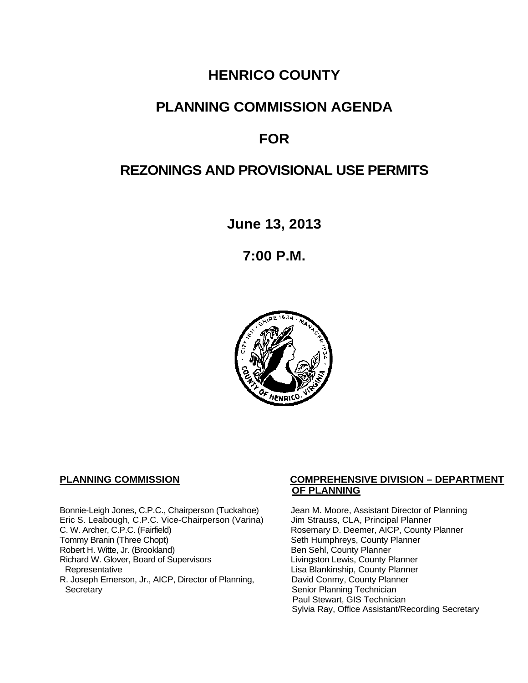# **HENRICO COUNTY**

# **PLANNING COMMISSION AGENDA**

# **FOR**

# **REZONINGS AND PROVISIONAL USE PERMITS**

**June 13, 2013**

**7:00 P.M.**



Bonnie-Leigh Jones, C.P.C., Chairperson (Tuckahoe) Jean M. Moore, Assistant Director of Planning<br>Eric S. Leabough, C.P.C. Vice-Chairperson (Varina) Jim Strauss, CLA, Principal Planner Eric S. Leabough, C.P.C. Vice-Chairperson (Varina)<br>C. W. Archer, C.P.C. (Fairfield) C. W. Archer, C.P.C. (Fairfield) Rosemary D. Deemer, AICP, County Planner<br>
Tommy Branin (Three Chopt) Seth Humphreys, County Planner Robert H. Witte, Jr. (Brookland)<br>
Richard W. Glover, Board of Supervisors<br>
Livingston Lewis, County Planner Richard W. Glover, Board of Supervisors<br>Representative R. Joseph Emerson, Jr., AICP, Director of Planning, Secretary

#### **PLANNING COMMISSION COMPREHENSIVE DIVISION – DEPARTMENT OF PLANNING**

Seth Humphreys, County Planner<br>Ben Sehl, County Planner Lisa Blankinship, County Planner<br>David Conmy, County Planner Senior Planning Technician Paul Stewart, GIS Technician Sylvia Ray, Office Assistant/Recording Secretary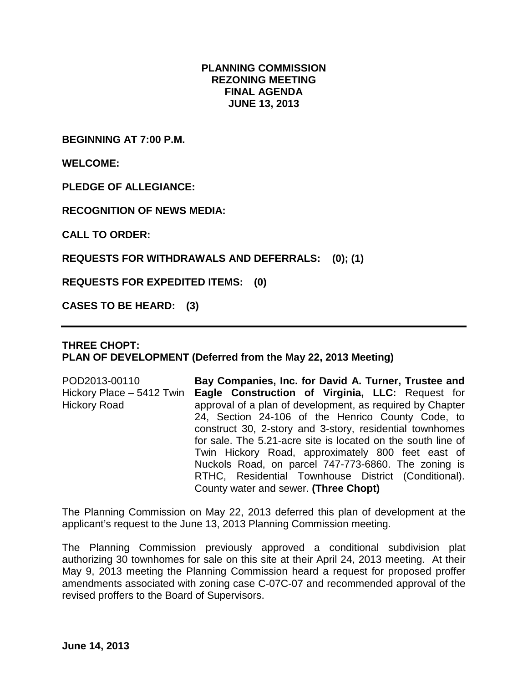#### **PLANNING COMMISSION REZONING MEETING FINAL AGENDA JUNE 13, 2013**

**BEGINNING AT 7:00 P.M.**

**WELCOME:**

**PLEDGE OF ALLEGIANCE:**

**RECOGNITION OF NEWS MEDIA:**

**CALL TO ORDER:**

**REQUESTS FOR WITHDRAWALS AND DEFERRALS: (0); (1)**

**REQUESTS FOR EXPEDITED ITEMS: (0)**

**CASES TO BE HEARD: (3)**

## **THREE CHOPT: PLAN OF DEVELOPMENT (Deferred from the May 22, 2013 Meeting)**

POD2013-00110 Hickory Place – 5412 Twin Hickory Road **Bay Companies, Inc. for David A. Turner, Trustee and Eagle Construction of Virginia, LLC:** Request for approval of a plan of development, as required by Chapter 24, Section 24-106 of the Henrico County Code, to construct 30, 2-story and 3-story, residential townhomes for sale. The 5.21-acre site is located on the south line of Twin Hickory Road, approximately 800 feet east of Nuckols Road, on parcel 747-773-6860. The zoning is RTHC, Residential Townhouse District (Conditional). County water and sewer. **(Three Chopt)**

The Planning Commission on May 22, 2013 deferred this plan of development at the applicant's request to the June 13, 2013 Planning Commission meeting.

The Planning Commission previously approved a conditional subdivision plat authorizing 30 townhomes for sale on this site at their April 24, 2013 meeting. At their May 9, 2013 meeting the Planning Commission heard a request for proposed proffer amendments associated with zoning case C-07C-07 and recommended approval of the revised proffers to the Board of Supervisors.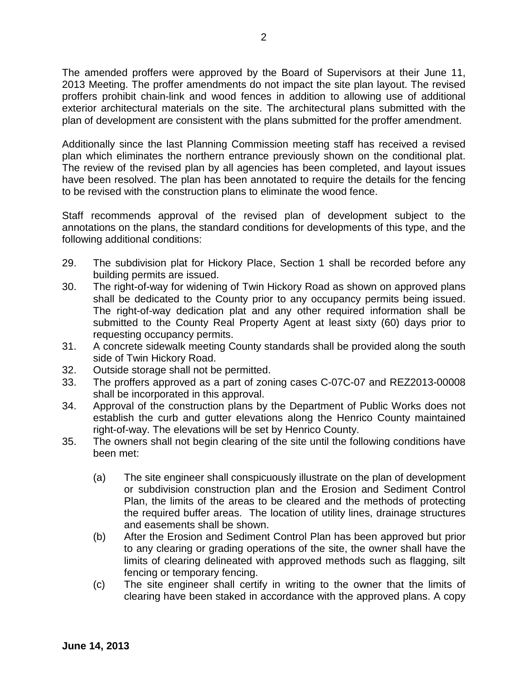The amended proffers were approved by the Board of Supervisors at their June 11, 2013 Meeting. The proffer amendments do not impact the site plan layout. The revised proffers prohibit chain-link and wood fences in addition to allowing use of additional exterior architectural materials on the site. The architectural plans submitted with the plan of development are consistent with the plans submitted for the proffer amendment.

Additionally since the last Planning Commission meeting staff has received a revised plan which eliminates the northern entrance previously shown on the conditional plat. The review of the revised plan by all agencies has been completed, and layout issues have been resolved. The plan has been annotated to require the details for the fencing to be revised with the construction plans to eliminate the wood fence.

Staff recommends approval of the revised plan of development subject to the annotations on the plans, the standard conditions for developments of this type, and the following additional conditions:

- 29. The subdivision plat for Hickory Place, Section 1 shall be recorded before any building permits are issued.
- 30. The right-of-way for widening of Twin Hickory Road as shown on approved plans shall be dedicated to the County prior to any occupancy permits being issued. The right-of-way dedication plat and any other required information shall be submitted to the County Real Property Agent at least sixty (60) days prior to requesting occupancy permits.
- 31. A concrete sidewalk meeting County standards shall be provided along the south side of Twin Hickory Road.
- 32. Outside storage shall not be permitted.
- 33. The proffers approved as a part of zoning cases C-07C-07 and REZ2013-00008 shall be incorporated in this approval.
- 34. Approval of the construction plans by the Department of Public Works does not establish the curb and gutter elevations along the Henrico County maintained right-of-way. The elevations will be set by Henrico County.
- 35. The owners shall not begin clearing of the site until the following conditions have been met:
	- (a) The site engineer shall conspicuously illustrate on the plan of development or subdivision construction plan and the Erosion and Sediment Control Plan, the limits of the areas to be cleared and the methods of protecting the required buffer areas. The location of utility lines, drainage structures and easements shall be shown.
	- (b) After the Erosion and Sediment Control Plan has been approved but prior to any clearing or grading operations of the site, the owner shall have the limits of clearing delineated with approved methods such as flagging, silt fencing or temporary fencing.
	- (c) The site engineer shall certify in writing to the owner that the limits of clearing have been staked in accordance with the approved plans. A copy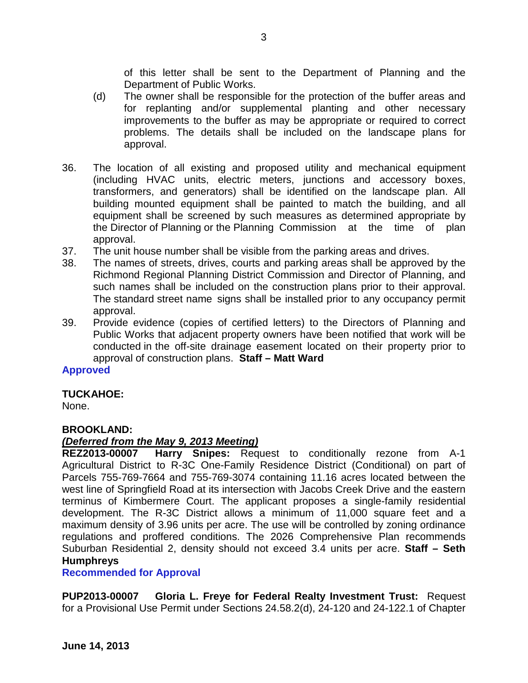of this letter shall be sent to the Department of Planning and the Department of Public Works.

- (d) The owner shall be responsible for the protection of the buffer areas and for replanting and/or supplemental planting and other necessary improvements to the buffer as may be appropriate or required to correct problems. The details shall be included on the landscape plans for approval.
- 36. The location of all existing and proposed utility and mechanical equipment (including HVAC units, electric meters, junctions and accessory boxes, transformers, and generators) shall be identified on the landscape plan. All building mounted equipment shall be painted to match the building, and all equipment shall be screened by such measures as determined appropriate by the Director of Planning or the Planning Commission at the time of plan approval.
- 37. The unit house number shall be visible from the parking areas and drives.
- 38. The names of streets, drives, courts and parking areas shall be approved by the Richmond Regional Planning District Commission and Director of Planning, and such names shall be included on the construction plans prior to their approval. The standard street name signs shall be installed prior to any occupancy permit approval.
- 39. Provide evidence (copies of certified letters) to the Directors of Planning and Public Works that adjacent property owners have been notified that work will be conducted in the off-site drainage easement located on their property prior to approval of construction plans. **Staff – Matt Ward**

## **Approved**

## **TUCKAHOE:**

None.

## **BROOKLAND:**

## *(Deferred from the May 9, 2013 Meeting)*

**REZ2013-00007 Harry Snipes:** Request to conditionally rezone from A-1 Agricultural District to R-3C One-Family Residence District (Conditional) on part of Parcels 755-769-7664 and 755-769-3074 containing 11.16 acres located between the west line of Springfield Road at its intersection with Jacobs Creek Drive and the eastern terminus of Kimbermere Court. The applicant proposes a single-family residential development. The R-3C District allows a minimum of 11,000 square feet and a maximum density of 3.96 units per acre. The use will be controlled by zoning ordinance regulations and proffered conditions. The 2026 Comprehensive Plan recommends Suburban Residential 2, density should not exceed 3.4 units per acre. **Staff – Seth Humphreys**

## **Recommended for Approval**

**PUP2013-00007 Gloria L. Freye for Federal Realty Investment Trust:** Request for a Provisional Use Permit under Sections 24.58.2(d), 24-120 and 24-122.1 of Chapter